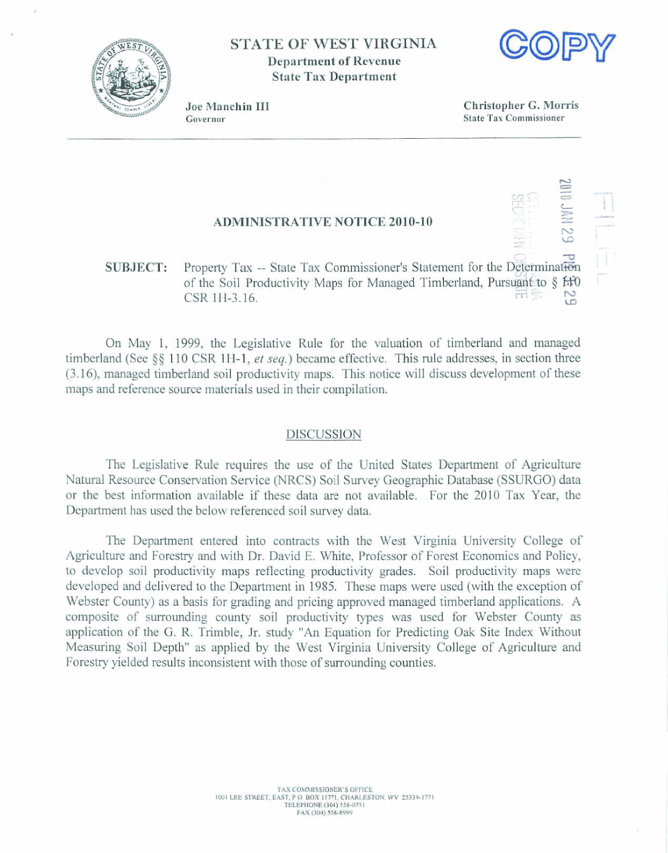

**STATE OF WEST VIRGINIA Department of Revenue State Tax Department** 



Joe Manchin III Governor

**Christopher** *G.* **Morris State Tax Commissioner** 

## **ADMID\IISTRATIVE NOTICE 2010-10**

## - - **1** I\ **SU&TECT: Property** Tax -- **State** Tax **Commissioner's Statement for** the **J13m&**  Property Tax -- State Tax Commissioner's Statement for the Determination of the Soil Productivity Maps for Managed Timberland, Pursuant to § <del>f.f</del>0 **CSR 1H-3.16.**  $R = \frac{1}{2}$  **CSR 1H-3.16.**  $\frac{1}{2}$  **CSR**

**On May** 1, 1999, **the Legislative Rule** far the valuation **of** timberland **and** managed timberland **(See §g** 11 0 CSR **1 H-** 1, *er* **seq.)** became **efFective.** This **rule** addresses, in section **three**  (3.1 *6),* **managed** timberland **soil productivity maps. This notice** will **discuss** development of **these**  maps and reference source materials used in their compilation.

## DISCUSSION

The Legislative **Rule** requires **the use** of **the United States Department of Agriculfme**  Natural **Resource Conservation Service (NRCS) Soil Survey Geographic** Database **(SSURGO) data**  or **the best** information mailable if these data **are** not **available.** For **the** 2010 Tax **Year,** the Department has **used the** below **referenced** soil survey **data.** 

The Department entered into contracts with the West Virginia University College of **Agriculhire and** Forestry **and** with **Dr. David** E. **White,** Professor **of Forest Economics and Policy, to develop soil productivity maps reflecting productivity grades. Soil productivity maps were developed** and delivered to the **Department** in 1985. **These maps** were used (with the **exception of**  Webster **County)** as **a basis for grading** and **pricing approved** managed **timberland applications. A**  composite of surrounding county soil productivity types was used for Webster County as **application of** the *G.* R. **Trimble,** Jr. **study "An Equation for** Predicting **Oak** Site **Index Without**  Measuring **Soil** Depth" **as applied by the West** Virginia University **College** of **Agriculture and**  Forestry yielded results inconsistent with those of surrounding counties.